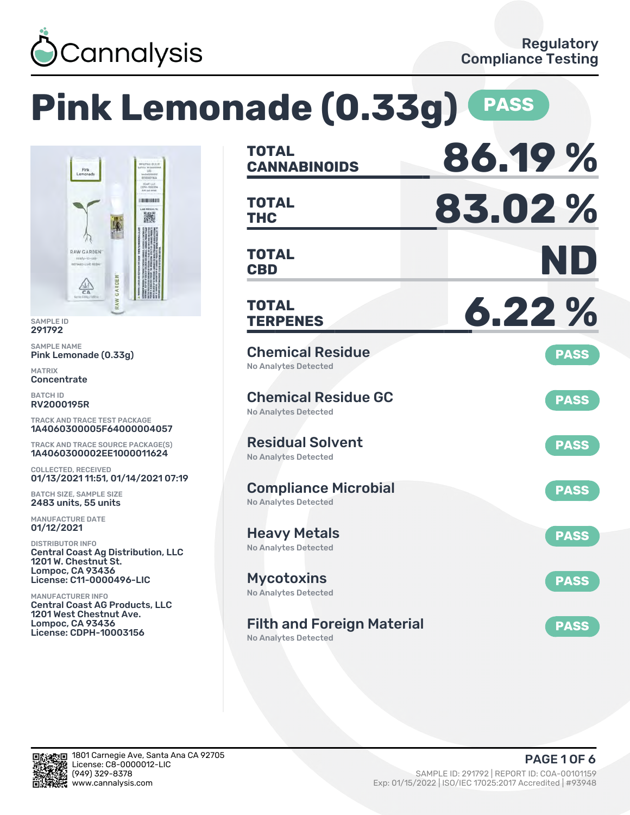

# **Pink Lemonade (0.33g) PASS**



SAMPLE ID 291792

SAMPLE NAME Pink Lemonade (0.33g)

MATRIX **Concentrate** 

BATCH ID RV2000195R

TRACK AND TRACE TEST PACKAGE 1A4060300005F64000004057

TRACK AND TRACE SOURCE PACKAGE(S) 1A4060300002EE1000011624

COLLECTED, RECEIVED 01/13/2021 11:51, 01/14/2021 07:19

BATCH SIZE, SAMPLE SIZE 2483 units, 55 units

MANUFACTURE DATE 01/12/2021

DISTRIBUTOR INFO Central Coast Ag Distribution, LLC 1201 W. Chestnut St. Lompoc, CA 93436 License: C11-0000496-LIC

MANUFACTURER INFO Central Coast AG Products, LLC 1201 West Chestnut Ave. Lompoc, CA 93436 License: CDPH-10003156

| <b>TOTAL</b><br><b>CANNABINOIDS</b>                              | 86.19%      |
|------------------------------------------------------------------|-------------|
| <b>TOTAL</b><br><b>THC</b>                                       | 83.02%      |
| <b>TOTAL</b><br><b>CBD</b>                                       | ND          |
| <b>TOTAL</b><br><b>TERPENES</b>                                  | 6.22%       |
| <b>Chemical Residue</b><br><b>No Analytes Detected</b>           | <b>PASS</b> |
| <b>Chemical Residue GC</b><br><b>No Analytes Detected</b>        | <b>PASS</b> |
| <b>Residual Solvent</b><br><b>No Analytes Detected</b>           | <b>PASS</b> |
| <b>Compliance Microbial</b><br><b>No Analytes Detected</b>       | <b>PASS</b> |
| <b>Heavy Metals</b><br><b>No Analytes Detected</b>               | <b>PASS</b> |
| <b>Mycotoxins</b><br>No Analytes Detected                        | <b>PASS</b> |
| <b>Filth and Foreign Material</b><br><b>No Analytes Detected</b> | <b>PASS</b> |

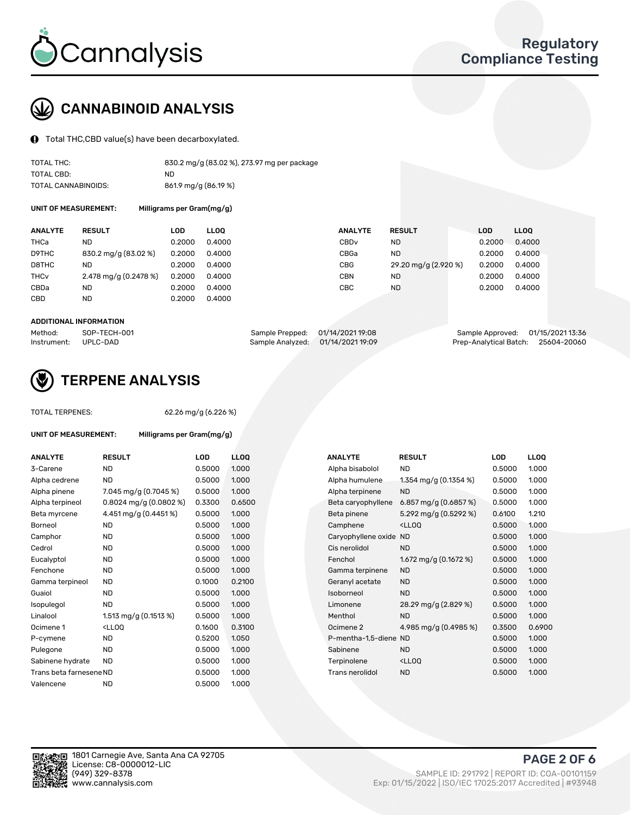

## CANNABINOID ANALYSIS

Total THC,CBD value(s) have been decarboxylated.

| TOTAL THC:          | 830.2 mg/g (83.02 %), 273.97 mg per package |
|---------------------|---------------------------------------------|
| TOTAL CBD:          | ND                                          |
| TOTAL CANNABINOIDS: | 861.9 mg/g (86.19 %)                        |

UNIT OF MEASUREMENT: Milligrams per Gram(mg/g)

| <b>ANALYTE</b>         | <b>RESULT</b>           | LOD    | <b>LLOO</b> | <b>ANALYTE</b>   | <b>RESULT</b>        | LOD    | LL <sub>00</sub> |
|------------------------|-------------------------|--------|-------------|------------------|----------------------|--------|------------------|
| <b>THCa</b>            | ND                      | 0.2000 | 0.4000      | CBD <sub>v</sub> | <b>ND</b>            | 0.2000 | 0.4000           |
| D9THC                  | 830.2 mg/g (83.02 %)    | 0.2000 | 0.4000      | CBGa             | <b>ND</b>            | 0.2000 | 0.4000           |
| D8THC                  | ND.                     | 0.2000 | 0.4000      | <b>CBG</b>       | 29.20 mg/g (2.920 %) | 0.2000 | 0.4000           |
| <b>THC<sub>V</sub></b> | 2.478 mg/g $(0.2478\%)$ | 0.2000 | 0.4000      | <b>CBN</b>       | ND                   | 0.2000 | 0.4000           |
| CBDa                   | ND                      | 0.2000 | 0.4000      | CBC              | <b>ND</b>            | 0.2000 | 0.4000           |
| <b>CBD</b>             | <b>ND</b>               | 0.2000 | 0.4000      |                  |                      |        |                  |

#### ADDITIONAL INFORMATION

| Method:              | SOP-TECH-001 | Sample Prepped: 01/14/2021 19:08  | Sample Approved: 01/15/2021 13:36  |  |
|----------------------|--------------|-----------------------------------|------------------------------------|--|
| Instrument: UPLC-DAD |              | Sample Analyzed: 01/14/2021 19:09 | Prep-Analytical Batch: 25604-20060 |  |



## TERPENE ANALYSIS

UNIT OF MEASUREMENT: Milligrams per Gram(mg/g)

| TUTAL TERPENES: |  |
|-----------------|--|
|                 |  |

TOTAL TERPENES: 62.26 mg/g (6.226 %)

| <b>ANALYTE</b>          | <b>RESULT</b>                                                                                                                     | <b>LOD</b> | <b>LLOO</b> | <b>ANALYTE</b>         | <b>RESULT</b>                                      | LOD    | <b>LLOO</b> |
|-------------------------|-----------------------------------------------------------------------------------------------------------------------------------|------------|-------------|------------------------|----------------------------------------------------|--------|-------------|
| 3-Carene                | <b>ND</b>                                                                                                                         | 0.5000     | 1.000       | Alpha bisabolol        | ND                                                 | 0.5000 | 1.000       |
| Alpha cedrene           | <b>ND</b>                                                                                                                         | 0.5000     | 1.000       | Alpha humulene         | 1.354 mg/g $(0.1354\%)$                            | 0.5000 | 1.000       |
| Alpha pinene            | 7.045 mg/g (0.7045 %)                                                                                                             | 0.5000     | 1.000       | Alpha terpinene        | <b>ND</b>                                          | 0.5000 | 1.000       |
| Alpha terpineol         | $0.8024$ mg/g $(0.0802%)$                                                                                                         | 0.3300     | 0.6500      | Beta caryophyllene     | 6.857 mg/g $(0.6857%)$                             | 0.5000 | 1.000       |
| Beta myrcene            | 4.451 mg/g (0.4451%)                                                                                                              | 0.5000     | 1.000       | Beta pinene            | 5.292 mg/g (0.5292 %)                              | 0.6100 | 1.210       |
| Borneol                 | <b>ND</b>                                                                                                                         | 0.5000     | 1.000       | Camphene               | <ll0q< td=""><td>0.5000</td><td>1.000</td></ll0q<> | 0.5000 | 1.000       |
| Camphor                 | <b>ND</b>                                                                                                                         | 0.5000     | 1.000       | Caryophyllene oxide ND |                                                    | 0.5000 | 1.000       |
| Cedrol                  | <b>ND</b>                                                                                                                         | 0.5000     | 1.000       | Cis nerolidol          | <b>ND</b>                                          | 0.5000 | 1.000       |
| Eucalyptol              | <b>ND</b>                                                                                                                         | 0.5000     | 1.000       | Fenchol                | 1.672 mg/g $(0.1672 \%)$                           | 0.5000 | 1.000       |
| Fenchone                | <b>ND</b>                                                                                                                         | 0.5000     | 1.000       | Gamma terpinene        | <b>ND</b>                                          | 0.5000 | 1.000       |
| Gamma terpineol         | <b>ND</b>                                                                                                                         | 0.1000     | 0.2100      | Geranyl acetate        | <b>ND</b>                                          | 0.5000 | 1.000       |
| Guaiol                  | <b>ND</b>                                                                                                                         | 0.5000     | 1.000       | Isoborneol             | <b>ND</b>                                          | 0.5000 | 1.000       |
| Isopulegol              | <b>ND</b>                                                                                                                         | 0.5000     | 1.000       | Limonene               | 28.29 mg/g (2.829 %)                               | 0.5000 | 1.000       |
| Linalool                | 1.513 mg/g $(0.1513 \%)$                                                                                                          | 0.5000     | 1.000       | Menthol                | <b>ND</b>                                          | 0.5000 | 1.000       |
| Ocimene 1               | <lloq< td=""><td>0.1600</td><td>0.3100</td><td>Ocimene 2</td><td>4.985 mg/g (0.4985 %)</td><td>0.3500</td><td>0.6900</td></lloq<> | 0.1600     | 0.3100      | Ocimene 2              | 4.985 mg/g (0.4985 %)                              | 0.3500 | 0.6900      |
| P-cymene                | <b>ND</b>                                                                                                                         | 0.5200     | 1.050       | P-mentha-1.5-diene ND  |                                                    | 0.5000 | 1.000       |
| Pulegone                | <b>ND</b>                                                                                                                         | 0.5000     | 1.000       | Sabinene               | <b>ND</b>                                          | 0.5000 | 1.000       |
| Sabinene hydrate        | <b>ND</b>                                                                                                                         | 0.5000     | 1.000       | Terpinolene            | <ll0q< td=""><td>0.5000</td><td>1.000</td></ll0q<> | 0.5000 | 1.000       |
| Trans beta farnesene ND |                                                                                                                                   | 0.5000     | 1.000       | Trans nerolidol        | <b>ND</b>                                          | 0.5000 | 1.000       |
| Valencene               | <b>ND</b>                                                                                                                         | 0.5000     | 1.000       |                        |                                                    |        |             |

| <b>ANALYTE</b>         | <b>RESULT</b>                                      | LOD    | LL <sub>OO</sub> |
|------------------------|----------------------------------------------------|--------|------------------|
| Alpha bisabolol        | <b>ND</b>                                          | 0.5000 | 1.000            |
| Alpha humulene         | 1.354 mg/g $(0.1354\%)$                            | 0.5000 | 1.000            |
| Alpha terpinene        | <b>ND</b>                                          | 0.5000 | 1.000            |
| Beta caryophyllene     | 6.857 mg/g (0.6857 %)                              | 0.5000 | 1.000            |
| Beta pinene            | 5.292 mg/g (0.5292 %)                              | 0.6100 | 1.210            |
| Camphene               | <lloo< td=""><td>0.5000</td><td>1.000</td></lloo<> | 0.5000 | 1.000            |
| Caryophyllene oxide ND |                                                    | 0.5000 | 1.000            |
| Cis nerolidol          | <b>ND</b>                                          | 0.5000 | 1.000            |
| Fenchol                | 1.672 mg/g $(0.1672 \%)$                           | 0.5000 | 1.000            |
| Gamma terpinene        | <b>ND</b>                                          | 0.5000 | 1.000            |
| Geranyl acetate        | <b>ND</b>                                          | 0.5000 | 1.000            |
| soborneol              | <b>ND</b>                                          | 0.5000 | 1.000            |
| Limonene               | 28.29 mg/g (2.829 %)                               | 0.5000 | 1.000            |
| Menthol                | <b>ND</b>                                          | 0.5000 | 1.000            |
| Ocimene 2              | 4.985 mg/g (0.4985 %)                              | 0.3500 | 0.6900           |
| P-mentha-1,5-diene ND  |                                                    | 0.5000 | 1.000            |
| Sabinene               | <b>ND</b>                                          | 0.5000 | 1.000            |
| Terpinolene            | <ll0q< td=""><td>0.5000</td><td>1.000</td></ll0q<> | 0.5000 | 1.000            |
| Trans nerolidol        | <b>ND</b>                                          | 0.5000 | 1.000            |
|                        |                                                    |        |                  |

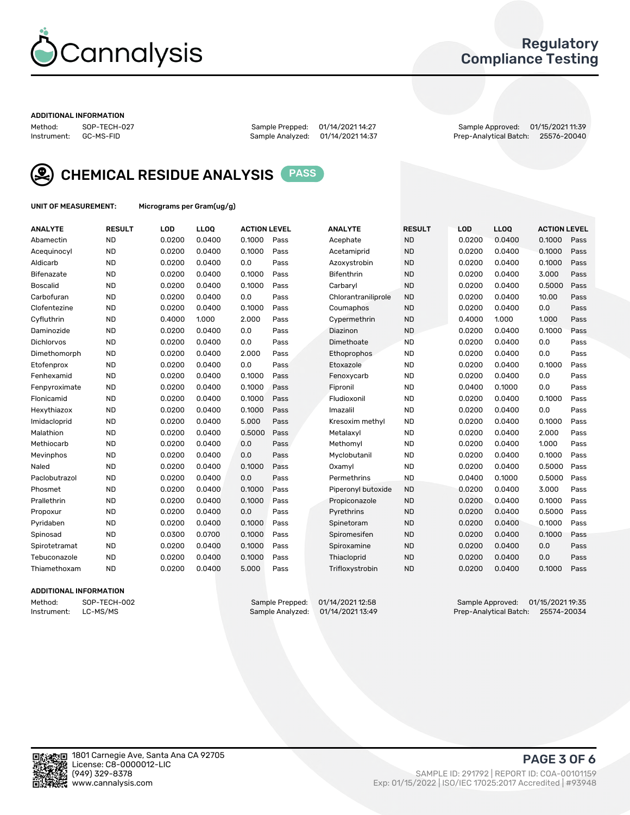

## Regulatory Compliance Testing

#### ADDITIONAL INFORMATION

Method: SOP-TECH-027 Sample Prepped: 01/14/2021 14:27 Sample Approved: 01/15/2021 11:39 Prep-Analytical Batch: 25576-20040



CHEMICAL RESIDUE ANALYSIS PASS

UNIT OF MEASUREMENT: Micrograms per Gram(ug/g)

| <b>ANALYTE</b>    | <b>RESULT</b> | LOD    | LLOQ   | <b>ACTION LEVEL</b> |      | <b>ANALYTE</b>      | <b>RESULT</b> | LOD    | <b>LLOQ</b> | <b>ACTION LEVEL</b> |      |
|-------------------|---------------|--------|--------|---------------------|------|---------------------|---------------|--------|-------------|---------------------|------|
| Abamectin         | <b>ND</b>     | 0.0200 | 0.0400 | 0.1000              | Pass | Acephate            | <b>ND</b>     | 0.0200 | 0.0400      | 0.1000              | Pass |
| Acequinocyl       | <b>ND</b>     | 0.0200 | 0.0400 | 0.1000              | Pass | Acetamiprid         | <b>ND</b>     | 0.0200 | 0.0400      | 0.1000              | Pass |
| Aldicarb          | <b>ND</b>     | 0.0200 | 0.0400 | 0.0                 | Pass | Azoxystrobin        | <b>ND</b>     | 0.0200 | 0.0400      | 0.1000              | Pass |
| Bifenazate        | <b>ND</b>     | 0.0200 | 0.0400 | 0.1000              | Pass | <b>Bifenthrin</b>   | <b>ND</b>     | 0.0200 | 0.0400      | 3.000               | Pass |
| <b>Boscalid</b>   | <b>ND</b>     | 0.0200 | 0.0400 | 0.1000              | Pass | Carbarvl            | <b>ND</b>     | 0.0200 | 0.0400      | 0.5000              | Pass |
| Carbofuran        | <b>ND</b>     | 0.0200 | 0.0400 | 0.0                 | Pass | Chlorantraniliprole | <b>ND</b>     | 0.0200 | 0.0400      | 10.00               | Pass |
| Clofentezine      | <b>ND</b>     | 0.0200 | 0.0400 | 0.1000              | Pass | Coumaphos           | <b>ND</b>     | 0.0200 | 0.0400      | 0.0                 | Pass |
| Cyfluthrin        | <b>ND</b>     | 0.4000 | 1.000  | 2.000               | Pass | Cypermethrin        | <b>ND</b>     | 0.4000 | 1.000       | 1.000               | Pass |
| Daminozide        | <b>ND</b>     | 0.0200 | 0.0400 | 0.0                 | Pass | Diazinon            | <b>ND</b>     | 0.0200 | 0.0400      | 0.1000              | Pass |
| <b>Dichlorvos</b> | <b>ND</b>     | 0.0200 | 0.0400 | 0.0                 | Pass | Dimethoate          | <b>ND</b>     | 0.0200 | 0.0400      | 0.0                 | Pass |
| Dimethomorph      | <b>ND</b>     | 0.0200 | 0.0400 | 2.000               | Pass | <b>Ethoprophos</b>  | <b>ND</b>     | 0.0200 | 0.0400      | 0.0                 | Pass |
| Etofenprox        | <b>ND</b>     | 0.0200 | 0.0400 | 0.0                 | Pass | Etoxazole           | <b>ND</b>     | 0.0200 | 0.0400      | 0.1000              | Pass |
| Fenhexamid        | <b>ND</b>     | 0.0200 | 0.0400 | 0.1000              | Pass | Fenoxycarb          | <b>ND</b>     | 0.0200 | 0.0400      | 0.0                 | Pass |
| Fenpyroximate     | <b>ND</b>     | 0.0200 | 0.0400 | 0.1000              | Pass | Fipronil            | <b>ND</b>     | 0.0400 | 0.1000      | 0.0                 | Pass |
| Flonicamid        | <b>ND</b>     | 0.0200 | 0.0400 | 0.1000              | Pass | Fludioxonil         | <b>ND</b>     | 0.0200 | 0.0400      | 0.1000              | Pass |
| Hexythiazox       | <b>ND</b>     | 0.0200 | 0.0400 | 0.1000              | Pass | Imazalil            | <b>ND</b>     | 0.0200 | 0.0400      | 0.0                 | Pass |
| Imidacloprid      | <b>ND</b>     | 0.0200 | 0.0400 | 5.000               | Pass | Kresoxim methyl     | <b>ND</b>     | 0.0200 | 0.0400      | 0.1000              | Pass |
| Malathion         | <b>ND</b>     | 0.0200 | 0.0400 | 0.5000              | Pass | Metalaxyl           | <b>ND</b>     | 0.0200 | 0.0400      | 2.000               | Pass |
| Methiocarb        | <b>ND</b>     | 0.0200 | 0.0400 | 0.0                 | Pass | Methomyl            | <b>ND</b>     | 0.0200 | 0.0400      | 1.000               | Pass |
| Mevinphos         | <b>ND</b>     | 0.0200 | 0.0400 | 0.0                 | Pass | Myclobutanil        | <b>ND</b>     | 0.0200 | 0.0400      | 0.1000              | Pass |
| Naled             | <b>ND</b>     | 0.0200 | 0.0400 | 0.1000              | Pass | Oxamyl              | <b>ND</b>     | 0.0200 | 0.0400      | 0.5000              | Pass |
| Paclobutrazol     | <b>ND</b>     | 0.0200 | 0.0400 | 0.0                 | Pass | Permethrins         | <b>ND</b>     | 0.0400 | 0.1000      | 0.5000              | Pass |
| Phosmet           | <b>ND</b>     | 0.0200 | 0.0400 | 0.1000              | Pass | Piperonyl butoxide  | <b>ND</b>     | 0.0200 | 0.0400      | 3.000               | Pass |
| Prallethrin       | <b>ND</b>     | 0.0200 | 0.0400 | 0.1000              | Pass | Propiconazole       | <b>ND</b>     | 0.0200 | 0.0400      | 0.1000              | Pass |
| Propoxur          | <b>ND</b>     | 0.0200 | 0.0400 | 0.0                 | Pass | Pyrethrins          | <b>ND</b>     | 0.0200 | 0.0400      | 0.5000              | Pass |
| Pyridaben         | <b>ND</b>     | 0.0200 | 0.0400 | 0.1000              | Pass | Spinetoram          | <b>ND</b>     | 0.0200 | 0.0400      | 0.1000              | Pass |
| Spinosad          | <b>ND</b>     | 0.0300 | 0.0700 | 0.1000              | Pass | Spiromesifen        | <b>ND</b>     | 0.0200 | 0.0400      | 0.1000              | Pass |
| Spirotetramat     | <b>ND</b>     | 0.0200 | 0.0400 | 0.1000              | Pass | Spiroxamine         | <b>ND</b>     | 0.0200 | 0.0400      | 0.0                 | Pass |
| Tebuconazole      | <b>ND</b>     | 0.0200 | 0.0400 | 0.1000              | Pass | Thiacloprid         | <b>ND</b>     | 0.0200 | 0.0400      | 0.0                 | Pass |
| Thiamethoxam      | <b>ND</b>     | 0.0200 | 0.0400 | 5.000               | Pass | Trifloxystrobin     | <b>ND</b>     | 0.0200 | 0.0400      | 0.1000              | Pass |

### ADDITIONAL INFORMATION

Method: SOP-TECH-002 Sample Prepped: 01/14/2021 12:58 Sample Approved: 01/15/2021 19:35<br>Instrument: LC-MS/MS Sample Analyzed: 01/14/2021 13:49 Prep-Analytical Batch: 25574-20034 Prep-Analytical Batch: 25574-20034

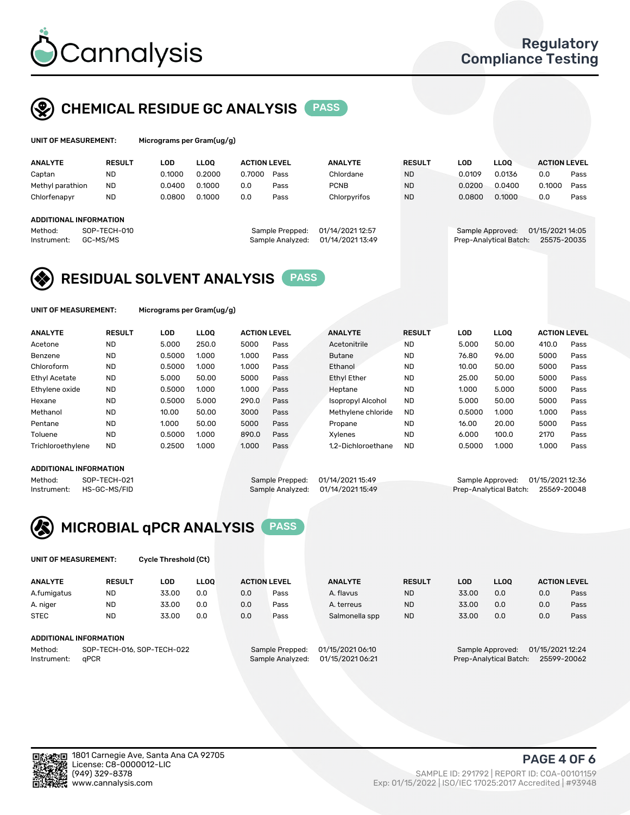

## CHEMICAL RESIDUE GC ANALYSIS PASS

| UNIT OF MEASUREMENT: |               | Micrograms per Gram(ug/g) |        |                     |                |               |        |        |                     |      |
|----------------------|---------------|---------------------------|--------|---------------------|----------------|---------------|--------|--------|---------------------|------|
| <b>ANALYTE</b>       | <b>RESUL1</b> | LOD                       | LLOO.  | <b>ACTION LEVEL</b> | <b>ANALYTE</b> | <b>RESULT</b> | LOD    | LLOO   | <b>ACTION LEVEL</b> |      |
| Captan               | ND            | 0.1000                    | 0.2000 | 0.7000<br>Pass      | Chlordane      | <b>ND</b>     | 0.0109 | 0.0136 | 0.0                 | Pass |

| Captan<br>Methyl parathion                                   | <b>ND</b><br><b>ND</b> | 0.1000<br>0.0400 | 0.2000<br>0.1000 | 0.7000<br>0.0 | Pass<br>Pass                        | Chlordane<br><b>PCNB</b>             | <b>ND</b><br><b>ND</b> | 0.0109<br>0.0200 | 0.0136<br>0.0400       | 0.0<br>0.1000                   | Pass<br>Pass |
|--------------------------------------------------------------|------------------------|------------------|------------------|---------------|-------------------------------------|--------------------------------------|------------------------|------------------|------------------------|---------------------------------|--------------|
| Chlorfenapyr                                                 | <b>ND</b>              | 0.0800           | 0.1000           | 0.0           | Pass                                | Chlorpyrifos                         | <b>ND</b>              | 0.0800           | 0.1000                 | 0.0                             | Pass         |
| ADDITIONAL INFORMATION<br>Method:<br>GC-MS/MS<br>Instrument: | SOP-TECH-010           |                  |                  |               | Sample Prepped:<br>Sample Analyzed: | 01/14/2021 12:57<br>01/14/2021 13:49 |                        | Sample Approved: | Prep-Analytical Batch: | 01/15/2021 14:05<br>25575-20035 |              |

## RESIDUAL SOLVENT ANALYSIS PASS

UNIT OF MEASUREMENT: Micrograms per Gram(ug/g)

| <b>ANALYTE</b>       | <b>RESULT</b> | LOD    | <b>LLOO</b> | <b>ACTION LEVEL</b> |      | <b>ANALYTE</b>           | <b>RESULT</b> | <b>LOD</b> | LLOO  | <b>ACTION LEVEL</b> |      |
|----------------------|---------------|--------|-------------|---------------------|------|--------------------------|---------------|------------|-------|---------------------|------|
| Acetone              | <b>ND</b>     | 5.000  | 250.0       | 5000                | Pass | Acetonitrile             | <b>ND</b>     | 5.000      | 50.00 | 410.0               | Pass |
| Benzene              | <b>ND</b>     | 0.5000 | 1.000       | 1.000               | Pass | <b>Butane</b>            | <b>ND</b>     | 76.80      | 96.00 | 5000                | Pass |
| Chloroform           | <b>ND</b>     | 0.5000 | 1.000       | 1.000               | Pass | Ethanol                  | <b>ND</b>     | 10.00      | 50.00 | 5000                | Pass |
| <b>Ethyl Acetate</b> | <b>ND</b>     | 5.000  | 50.00       | 5000                | Pass | <b>Ethyl Ether</b>       | <b>ND</b>     | 25.00      | 50.00 | 5000                | Pass |
| Ethylene oxide       | <b>ND</b>     | 0.5000 | 1.000       | 1.000               | Pass | Heptane                  | <b>ND</b>     | 1.000      | 5.000 | 5000                | Pass |
| Hexane               | <b>ND</b>     | 0.5000 | 5.000       | 290.0               | Pass | <b>Isopropyl Alcohol</b> | <b>ND</b>     | 5.000      | 50.00 | 5000                | Pass |
| Methanol             | <b>ND</b>     | 10.00  | 50.00       | 3000                | Pass | Methylene chloride       | <b>ND</b>     | 0.5000     | 1.000 | 1.000               | Pass |
| Pentane              | <b>ND</b>     | 1.000  | 50.00       | 5000                | Pass | Propane                  | <b>ND</b>     | 16.00      | 20.00 | 5000                | Pass |
| Toluene              | <b>ND</b>     | 0.5000 | 1.000       | 890.0               | Pass | Xvlenes                  | <b>ND</b>     | 6.000      | 100.0 | 2170                | Pass |
| Trichloroethylene    | <b>ND</b>     | 0.2500 | 1.000       | 1.000               | Pass | 1.2-Dichloroethane       | <b>ND</b>     | 0.5000     | 1.000 | 1.000               | Pass |

#### ADDITIONAL INFORMATION

Method: SOP-TECH-021 Sample Prepped: 01/14/2021 15:49 Sample Approved: 01/15/2021 12:36<br>Instrument: HS-GC-MS/FID Sample Analyzed: 01/14/2021 15:49 Prep-Analytical Batch: 25569-20048 Prep-Analytical Batch: 25569-20048



| UNIT OF MEASUREMENT: | Cycle Threshold (Ct) |  |
|----------------------|----------------------|--|
|                      |                      |  |

| <b>ANALYTE</b>                        | <b>RESULT</b>          | LOD   | <b>LLOO</b> | <b>ACTION LEVEL</b> |                 | <b>ANALYTE</b>   | <b>RESULT</b> | LOD   | LL <sub>00</sub> |                  | <b>ACTION LEVEL</b> |
|---------------------------------------|------------------------|-------|-------------|---------------------|-----------------|------------------|---------------|-------|------------------|------------------|---------------------|
| A.fumigatus                           | <b>ND</b>              | 33.00 | 0.0         | 0.0                 | Pass            | A. flavus        | <b>ND</b>     | 33.00 | 0.0              | 0.0              | Pass                |
| A. niger                              | <b>ND</b>              | 33.00 | 0.0         | 0.0                 | Pass            | A. terreus       | <b>ND</b>     | 33.00 | 0.0              | 0.0              | Pass                |
| <b>STEC</b>                           | <b>ND</b>              | 33.00 | 0.0         | 0.0                 | Pass            | Salmonella spp   | <b>ND</b>     | 33.00 | 0.0              | 0.0              | Pass                |
|                                       | ADDITIONAL INFORMATION |       |             |                     |                 |                  |               |       |                  |                  |                     |
| SOP-TECH-016, SOP-TECH-022<br>Method: |                        |       |             |                     | Sample Prepped: | 01/15/2021 06:10 |               |       | Sample Approved: | 01/15/2021 12:24 |                     |

Instrument: qPCR Sample Analyzed: 01/15/2021 06:21 Prep-Analytical Batch: 25599-20062



(949) 329-8378 SAMPLE ID: 291792 | REPORT ID: COA-00101159 Exp: 01/15/2022 | ISO/IEC 17025:2017 Accredited | #93948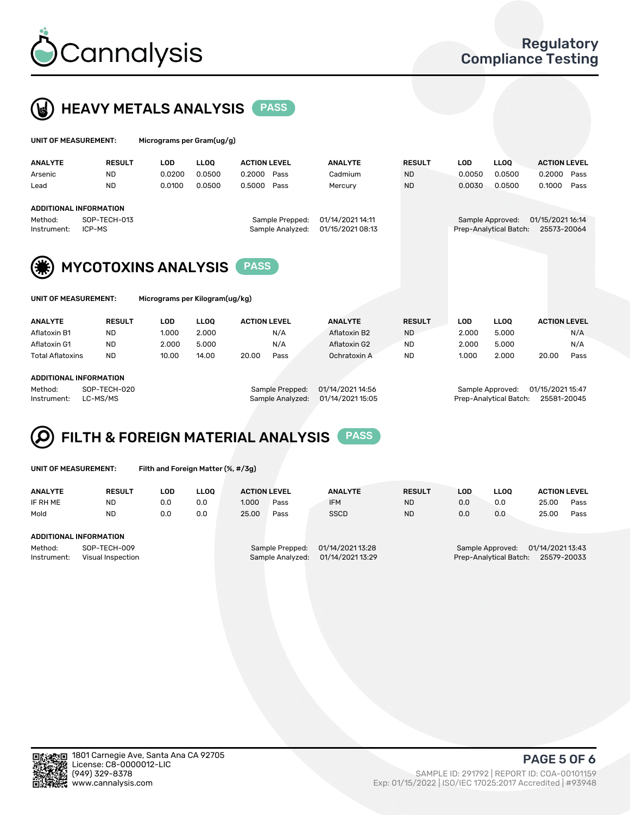



| UNIT OF MEASUREMENT: |               | Micrograms per Gram(ug/g) |        |                     |                |               |        |                   |                     |
|----------------------|---------------|---------------------------|--------|---------------------|----------------|---------------|--------|-------------------|---------------------|
| <b>ANALYTE</b>       | <b>RESULT</b> | <b>LOD</b>                | LLOO   | <b>ACTION LEVEL</b> | <b>ANALYTE</b> | <b>RESULT</b> | LOD    | LLOO <sup>1</sup> | <b>ACTION LEVEL</b> |
| Arsenic              | <b>NL</b>     | 0.0200                    | 0.0500 | 0.2000<br>Pass      | Cadmium        | <b>ND</b>     | 0.0050 | 0.0500            | 0.2000<br>Pass      |

## ADDITIONAL INFORMATION Method: SOP-TECH-013 Sample Prepped: 01/14/2021 14:11 Sample Approved: 01/15/2021 16:14 Instrument: ICP-MS Sample Analyzed: 01/15/2021 08:13 Prep-Analytical Batch: 25573-20064





MYCOTOXINS ANALYSIS PASS

Micrograms per Kilogram(ug/kg)

| <b>ANALYTE</b>          | <b>RESULT</b> | <b>LOD</b> | LLOO  | <b>ACTION LEVEL</b> |      | <b>ANALYTE</b> | <b>RESULT</b> | LOD   | <b>LLOO</b> |       | <b>ACTION LEVEL</b> |
|-------------------------|---------------|------------|-------|---------------------|------|----------------|---------------|-------|-------------|-------|---------------------|
| Aflatoxin B1            | <b>ND</b>     | 1.000      | 2.000 |                     | N/A  | Aflatoxin B2   | <b>ND</b>     | 2.000 | 5.000       |       | N/A                 |
| Aflatoxin G1            | <b>ND</b>     | 2.000      | 5.000 |                     | N/A  | Aflatoxin G2   | <b>ND</b>     | 2.000 | 5.000       |       | N/A                 |
| <b>Total Aflatoxins</b> | <b>ND</b>     | 10.00      | 14.00 | 20.00               | Pass | Ochratoxin A   | <b>ND</b>     | 1.000 | 2.000       | 20.00 | Pass                |
|                         |               |            |       |                     |      |                |               |       |             |       |                     |

Lead ND 0.0100 0.0500 0.5000 Pass Mercury ND 0.0030 0.0500 0.1000 Pass

#### ADDITIONAL INFORMATION

Method: SOP-TECH-020 Sample Prepped: 01/14/2021 14:56 Sample Approved: 01/15/2021 15:47 Instrument: LC-MS/MS Sample Analyzed: 01/14/2021 15:05 Prep-Analytical Batch: 25581-20045

# FILTH & FOREIGN MATERIAL ANALYSIS PASS

UNIT OF MEASUREMENT: Filth and Foreign Matter (%, #/3g)

| <b>ANALYTE</b>         | <b>RESULT</b>                     | LOD | <b>LLOO</b> | <b>ACTION LEVEL</b> |                                     | <b>ANALYTE</b>                       | <b>RESULT</b> | LOD | <b>LLOO</b>                                | <b>ACTION LEVEL</b>             |      |
|------------------------|-----------------------------------|-----|-------------|---------------------|-------------------------------------|--------------------------------------|---------------|-----|--------------------------------------------|---------------------------------|------|
| IF RH ME               | ND                                | 0.0 | 0.0         | 1.000               | Pass                                | <b>IFM</b>                           | <b>ND</b>     | 0.0 | 0.0                                        | 25.00                           | Pass |
| Mold                   | <b>ND</b>                         | 0.0 | 0.0         | 25.00               | Pass                                | <b>SSCD</b>                          | <b>ND</b>     | 0.0 | 0.0                                        | 25.00                           | Pass |
| ADDITIONAL INFORMATION |                                   |     |             |                     |                                     |                                      |               |     |                                            |                                 |      |
| Method:<br>Instrument: | SOP-TECH-009<br>Visual Inspection |     |             |                     | Sample Prepped:<br>Sample Analyzed: | 01/14/2021 13:28<br>01/14/2021 13:29 |               |     | Sample Approved:<br>Prep-Analytical Batch: | 01/14/2021 13:43<br>25579-20033 |      |